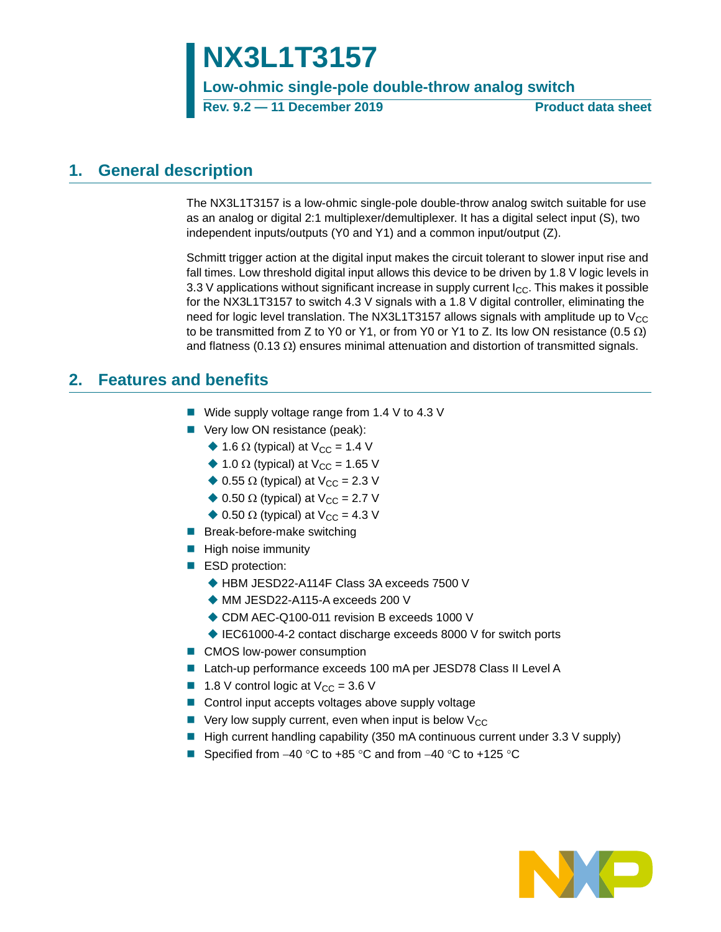# **NX3L1T3157**

**Low-ohmic single-pole double-throw analog switch**

**Rev. 9.2 — 11 December 2019 Product data sheet**

## <span id="page-0-0"></span>**1. General description**

The NX3L1T3157 is a low-ohmic single-pole double-throw analog switch suitable for use as an analog or digital 2:1 multiplexer/demultiplexer. It has a digital select input (S), two independent inputs/outputs (Y0 and Y1) and a common input/output (Z).

Schmitt trigger action at the digital input makes the circuit tolerant to slower input rise and fall times. Low threshold digital input allows this device to be driven by 1.8 V logic levels in 3.3 V applications without significant increase in supply current  $I_{CC}$ . This makes it possible for the NX3L1T3157 to switch 4.3 V signals with a 1.8 V digital controller, eliminating the need for logic level translation. The NX3L1T3157 allows signals with amplitude up to  $V_{CC}$ to be transmitted from Z to Y0 or Y1, or from Y0 or Y1 to Z. Its low ON resistance  $(0.5 \Omega)$ and flatness (0.13  $\Omega$ ) ensures minimal attenuation and distortion of transmitted signals.

## <span id="page-0-1"></span>**2. Features and benefits**

- Wide supply voltage range from 1.4 V to 4.3 V
- Very low ON resistance (peak):
	- $\triangle$  1.6  $\Omega$  (typical) at V<sub>CC</sub> = 1.4 V
	- $\triangle$  1.0  $\Omega$  (typical) at V<sub>CC</sub> = 1.65 V
	- $\triangle$  0.55  $\Omega$  (typical) at V<sub>CC</sub> = 2.3 V
	- $\triangle$  0.50  $\Omega$  (typical) at V<sub>CC</sub> = 2.7 V
	- $\blacklozenge$  0.50  $\Omega$  (typical) at V<sub>CC</sub> = 4.3 V
- **Break-before-make switching**
- **High noise immunity**
- ESD protection:
	- ◆ HBM JESD22-A114F Class 3A exceeds 7500 V
	- ◆ MM JESD22-A115-A exceeds 200 V
	- ◆ CDM AEC-Q100-011 revision B exceeds 1000 V
	- ◆ IEC61000-4-2 contact discharge exceeds 8000 V for switch ports
- CMOS low-power consumption
- Latch-up performance exceeds 100 mA per JESD78 Class II Level A
- **1.8** V control logic at  $V_{CC} = 3.6$  V
- Control input accepts voltages above supply voltage
- $\blacksquare$  Very low supply current, even when input is below  $\mathsf{V}_{\mathsf{CC}}$
- $\blacksquare$  High current handling capability (350 mA continuous current under 3.3 V supply)
- Specified from  $-40$  °C to  $+85$  °C and from  $-40$  °C to  $+125$  °C

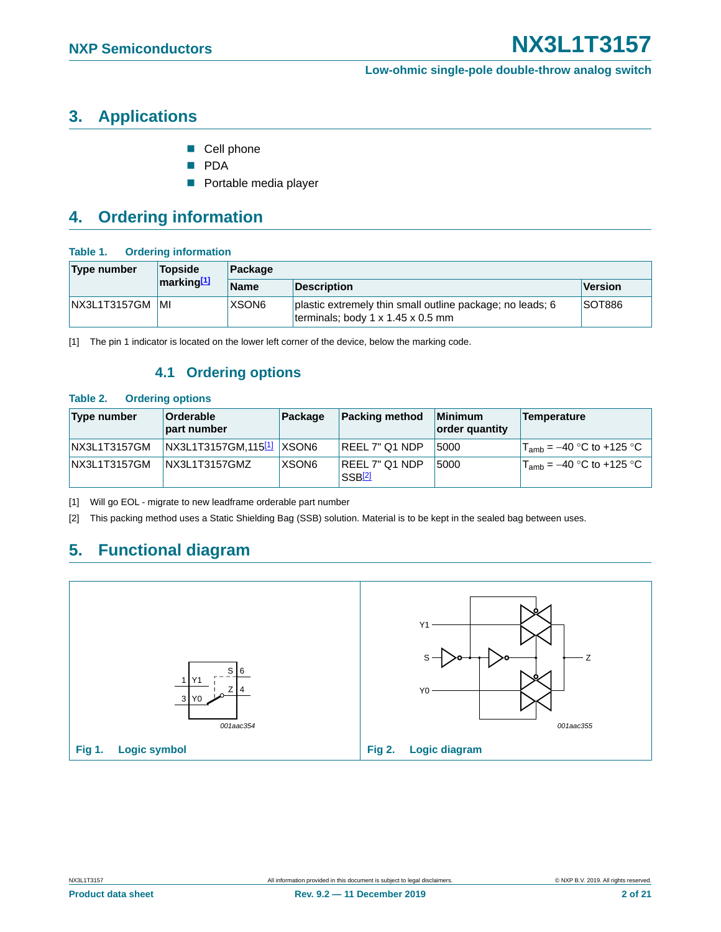## <span id="page-1-4"></span>**3. Applications**

- Cell phone
- **PDA**
- **Portable media player**

## <span id="page-1-5"></span>**4. Ordering information**

#### **Table 1. Ordering information**

| Type number  | <b>Topside</b><br>marking[1] | Package           |                                                                                                |               |  |  |  |  |  |  |  |
|--------------|------------------------------|-------------------|------------------------------------------------------------------------------------------------|---------------|--|--|--|--|--|--|--|
|              |                              | <b>Name</b>       | <b>Description</b>                                                                             | Version       |  |  |  |  |  |  |  |
| NX3L1T3157GM | IMI                          | XSON <sub>6</sub> | plastic extremely thin small outline package; no leads; 6<br>terminals; body 1 x 1.45 x 0.5 mm | <b>SOT886</b> |  |  |  |  |  |  |  |

<span id="page-1-6"></span><span id="page-1-0"></span>[1] The pin 1 indicator is located on the lower left corner of the device, below the marking code.

### **4.1 Ordering options**

#### <span id="page-1-3"></span>**Table 2. Ordering options**

| Type number  | Orderable<br>part number              | Package           | <b>Packing method</b>           | <b>Minimum</b><br>order quantity | <b>Temperature</b>            |
|--------------|---------------------------------------|-------------------|---------------------------------|----------------------------------|-------------------------------|
| NX3L1T3157GM | NX3L1T3157GM,115 <sup>[1]</sup> XSON6 |                   | <b>REEL 7" Q1 NDP</b>           | 5000                             | $T_{amb}$ = –40 °C to +125 °C |
| NX3L1T3157GM | NX3L1T3157GMZ                         | XSON <sub>6</sub> | <b>REEL 7" Q1 NDP</b><br>SSB[2] | 5000                             | $T_{amb}$ = –40 °C to +125 °C |

<span id="page-1-1"></span>[1] Will go EOL - migrate to new leadframe orderable part number

<span id="page-1-2"></span>[2] This packing method uses a Static Shielding Bag (SSB) solution. Material is to be kept in the sealed bag between uses.

## <span id="page-1-7"></span>**5. Functional diagram**

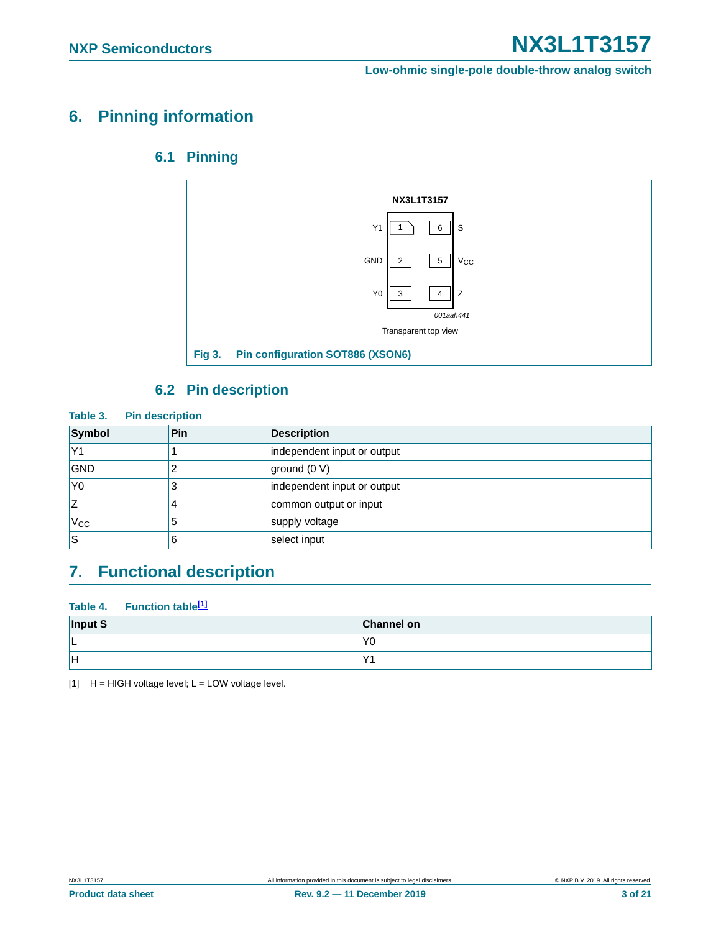## <span id="page-2-2"></span><span id="page-2-1"></span>**6. Pinning information**

### **6.1 Pinning**



### **6.2 Pin description**

<span id="page-2-3"></span>

| Table 3.<br><b>Pin description</b> |     |                             |  |  |  |  |  |  |  |
|------------------------------------|-----|-----------------------------|--|--|--|--|--|--|--|
| Symbol                             | Pin | <b>Description</b>          |  |  |  |  |  |  |  |
| Y1                                 |     | independent input or output |  |  |  |  |  |  |  |
| <b>GND</b>                         |     | ground (0 V)                |  |  |  |  |  |  |  |
| Y <sub>0</sub>                     |     | independent input or output |  |  |  |  |  |  |  |
| Z                                  | 4   | common output or input      |  |  |  |  |  |  |  |
| $V_{\rm CC}$                       | 5   | supply voltage              |  |  |  |  |  |  |  |
| ls                                 | 6   | select input                |  |  |  |  |  |  |  |

## <span id="page-2-4"></span>**7. Functional description**

#### **Table 4. Function table[\[1\]](#page-2-0)**

| Input S | <b>Channel on</b> |
|---------|-------------------|
| ∟       | Y <sub>0</sub>    |
| ΙH      | $\mathcal{L}$     |

<span id="page-2-0"></span> $[1]$  H = HIGH voltage level; L = LOW voltage level.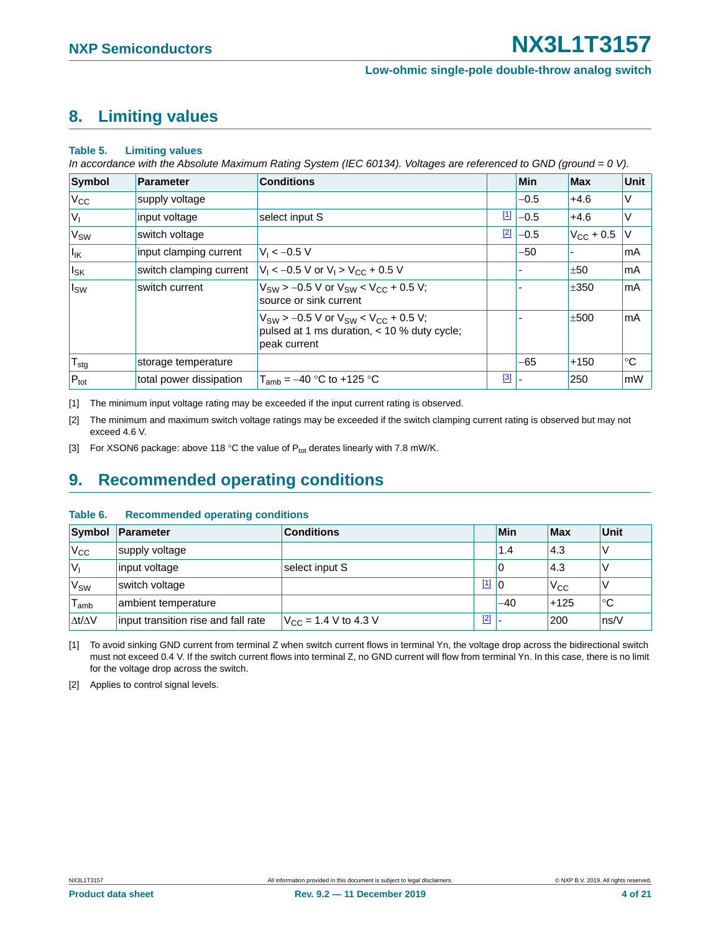## <span id="page-3-5"></span>**8. Limiting values**

#### **Table 5. Limiting values**

*In accordance with the Absolute Maximum Rating System (IEC 60134). Voltages are referenced to GND (ground = 0 V).*

| <b>Symbol</b>         | <b>Parameter</b>        | <b>Conditions</b>                                                                                                |             | Min    | <b>Max</b>         | Unit        |
|-----------------------|-------------------------|------------------------------------------------------------------------------------------------------------------|-------------|--------|--------------------|-------------|
| V <sub>cc</sub>       | supply voltage          |                                                                                                                  |             | $-0.5$ | $+4.6$             | V           |
| V <sub>1</sub>        | input voltage           | select input S                                                                                                   | $\boxed{1}$ | $-0.5$ | $+4.6$             | V           |
| V <sub>SW</sub>       | switch voltage          |                                                                                                                  | $[2]$       | $-0.5$ | $V_{\rm CC}$ + 0.5 | $\vee$      |
| lık                   | input clamping current  | $V_1 < -0.5 V$                                                                                                   |             | $-50$  |                    | mA          |
| <b>I<sub>SK</sub></b> | switch clamping current | $V_1 < -0.5$ V or $V_1 > V_{CC} + 0.5$ V                                                                         |             |        | ±50                | mA          |
| $I_{SW}$              | switch current          | $V_{SW}$ > -0.5 V or $V_{SW}$ < $V_{CC}$ + 0.5 V;<br>source or sink current                                      |             |        | ±350               | mA          |
|                       |                         | $V_{SW}$ > -0.5 V or $V_{SW}$ < $V_{CC}$ + 0.5 V;<br>pulsed at 1 ms duration, < 10 % duty cycle;<br>peak current |             |        | ±500               | mA          |
| ${\sf T}_{\sf stg}$   | storage temperature     |                                                                                                                  |             | -65    | $+150$             | $^{\circ}C$ |
| $P_{\text{tot}}$      | total power dissipation | $T_{amb} = -40$ °C to +125 °C                                                                                    | $^{[3]}$    |        | 250                | mW          |

<span id="page-3-0"></span>[1] The minimum input voltage rating may be exceeded if the input current rating is observed.

<span id="page-3-1"></span>[2] The minimum and maximum switch voltage ratings may be exceeded if the switch clamping current rating is observed but may not exceed 4.6 V.

<span id="page-3-2"></span>[3] For XSON6 package: above 118 °C the value of  $P_{tot}$  derates linearly with 7.8 mW/K.

## <span id="page-3-6"></span>**9. Recommended operating conditions**

#### **Table 6. Recommended operating conditions**

|                     | Symbol Parameter                    | <b>Conditions</b>                |             | Min   | <b>Max</b>   | Unit |
|---------------------|-------------------------------------|----------------------------------|-------------|-------|--------------|------|
| $V_{\rm CC}$        | supply voltage                      |                                  |             | 1.4   | 4.3          |      |
| 'V <sub>I</sub>     | input voltage                       | select input S                   |             | 0     | 4.3          |      |
| V <sub>SW</sub>     | switch voltage                      |                                  | $\boxed{1}$ | 10    | $V_{\rm CC}$ |      |
| $T_{\mathsf{amb}}$  | ambient temperature                 |                                  |             | $-40$ | $+125$       | °C   |
| $\Delta t/\Delta V$ | input transition rise and fall rate | $V_{\text{CC}}$ = 1.4 V to 4.3 V | $[2]$       |       | 200          | ns/V |

<span id="page-3-3"></span>[1] To avoid sinking GND current from terminal Z when switch current flows in terminal Yn, the voltage drop across the bidirectional switch must not exceed 0.4 V. If the switch current flows into terminal Z, no GND current will flow from terminal Yn. In this case, there is no limit for the voltage drop across the switch.

<span id="page-3-4"></span>[2] Applies to control signal levels.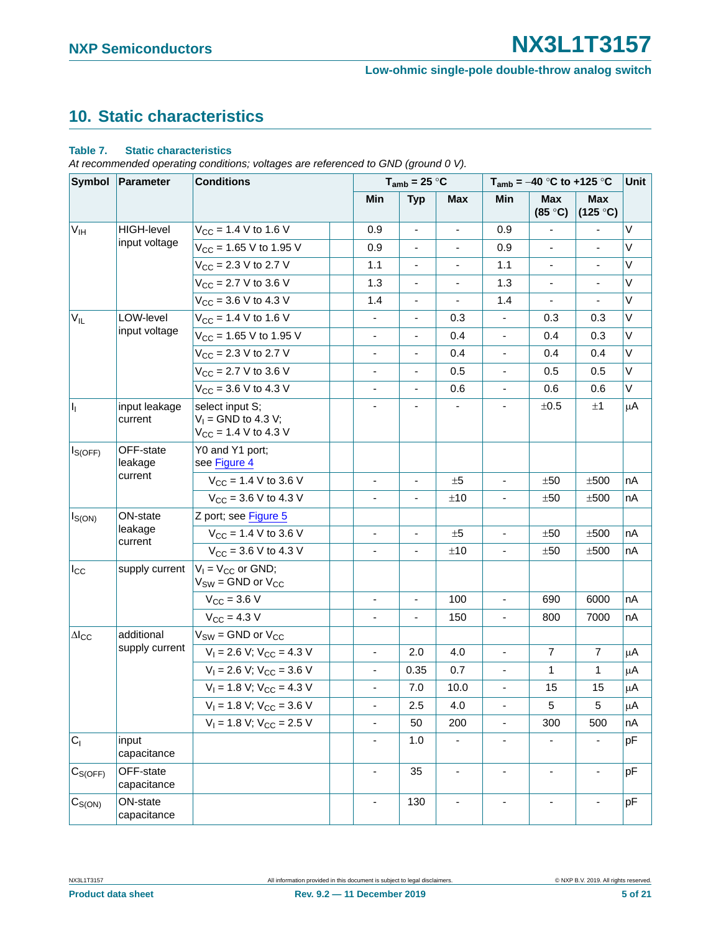## <span id="page-4-0"></span>**10. Static characteristics**

#### **Table 7. Static characteristics**

*At recommended operating conditions; voltages are referenced to GND (ground 0 V).*

| Symbol                  | <b>Parameter</b>                | <b>Conditions</b>                                                     |  | $T_{amb} = 25 °C$        |                              |                          | $T_{amb} = -40$ °C to +125 °C |                          |                          | Unit |
|-------------------------|---------------------------------|-----------------------------------------------------------------------|--|--------------------------|------------------------------|--------------------------|-------------------------------|--------------------------|--------------------------|------|
|                         |                                 |                                                                       |  | Min                      | <b>Typ</b>                   | <b>Max</b>               | Min                           | <b>Max</b><br>(85 °C)    | <b>Max</b><br>(125 °C)   |      |
| $V_{IH}$                | <b>HIGH-level</b>               | $V_{CC}$ = 1.4 V to 1.6 V                                             |  | 0.9                      |                              |                          | 0.9                           |                          |                          | V    |
|                         | input voltage                   | $V_{CC}$ = 1.65 V to 1.95 V                                           |  | 0.9                      | $\qquad \qquad \blacksquare$ | $\overline{\phantom{a}}$ | 0.9                           | $\blacksquare$           | $\overline{\phantom{a}}$ | V    |
|                         |                                 | $V_{CC}$ = 2.3 V to 2.7 V                                             |  | 1.1                      |                              |                          | 1.1                           |                          |                          | V    |
|                         |                                 | $V_{CC}$ = 2.7 V to 3.6 V                                             |  | 1.3                      | $\overline{\phantom{0}}$     | $\overline{\phantom{a}}$ | 1.3                           | $\blacksquare$           | $\overline{\phantom{a}}$ | V    |
|                         |                                 | $V_{CC}$ = 3.6 V to 4.3 V                                             |  | 1.4                      |                              |                          | 1.4                           |                          |                          | V    |
| $V_{IL}$                | LOW-level                       | $V_{CC}$ = 1.4 V to 1.6 V                                             |  | $\overline{\phantom{a}}$ | $\overline{\phantom{0}}$     | 0.3                      | ÷,                            | 0.3                      | 0.3                      | V    |
|                         | input voltage                   | $V_{CC}$ = 1.65 V to 1.95 V                                           |  |                          |                              | 0.4                      |                               | 0.4                      | 0.3                      | V    |
|                         |                                 | $V_{CC}$ = 2.3 V to 2.7 V                                             |  | $\overline{\phantom{0}}$ | ÷                            | 0.4                      | $\overline{\phantom{a}}$      | 0.4                      | 0.4                      | V    |
|                         |                                 | $V_{CC}$ = 2.7 V to 3.6 V                                             |  |                          |                              | 0.5                      |                               | 0.5                      | 0.5                      | V    |
|                         |                                 | $V_{CC}$ = 3.6 V to 4.3 V                                             |  | $\overline{\phantom{0}}$ | $\qquad \qquad \blacksquare$ | 0.6                      | $\blacksquare$                | 0.6                      | 0.6                      | V    |
| $I_1$                   | input leakage<br>current        | select input S;<br>$V_1$ = GND to 4.3 V;<br>$V_{CC}$ = 1.4 V to 4.3 V |  |                          |                              |                          |                               | ±0.5                     | $\pm 1$                  | μA   |
| $I_{S(OFF)}$            | OFF-state<br>leakage<br>current | Y0 and Y1 port;<br>see Figure 4                                       |  |                          |                              |                          |                               |                          |                          |      |
|                         |                                 | $V_{CC}$ = 1.4 V to 3.6 V                                             |  | $\overline{\phantom{0}}$ | $\qquad \qquad \blacksquare$ | ±5                       | $\overline{\phantom{a}}$      | ±50                      | ±500                     | nA   |
|                         |                                 | $V_{CC}$ = 3.6 V to 4.3 V                                             |  |                          |                              | ±10                      |                               | ±50                      | ±500                     | nA   |
| $I_{S(ON)}$             | ON-state                        | Z port; see Figure 5                                                  |  |                          |                              |                          |                               |                          |                          |      |
|                         | leakage<br>current              | $V_{CC}$ = 1.4 V to 3.6 V                                             |  |                          |                              | ±5                       |                               | ±50                      | ±500                     | nA   |
|                         |                                 | $V_{CC}$ = 3.6 V to 4.3 V                                             |  | ä,                       |                              | ±10                      | $\blacksquare$                | ±50                      | ±500                     | nA   |
| $I_{\rm CC}$            | supply current                  | $V_1 = V_{CC}$ or GND;<br>$V_{SW} =$ GND or $V_{CC}$                  |  |                          |                              |                          |                               |                          |                          |      |
|                         |                                 | $V_{CC} = 3.6 V$                                                      |  | $\overline{\phantom{0}}$ | $\blacksquare$               | 100                      | $\blacksquare$                | 690                      | 6000                     | nA   |
|                         |                                 | $V_{CC} = 4.3 V$                                                      |  | L,                       | ä,                           | 150                      | ÷.                            | 800                      | 7000                     | nA   |
| $\Delta\mathsf{l_{CC}}$ | additional                      | $V_{SW} =$ GND or $V_{CC}$                                            |  |                          |                              |                          |                               |                          |                          |      |
|                         | supply current                  | $V_1 = 2.6 V$ ; $V_{CC} = 4.3 V$                                      |  | ÷,                       | 2.0                          | 4.0                      | ÷,                            | $\overline{7}$           | $\overline{7}$           | μA   |
|                         |                                 | $V_1 = 2.6 V$ ; $V_{CC} = 3.6 V$                                      |  | $\overline{\phantom{0}}$ | 0.35                         | 0.7                      | $\overline{\phantom{a}}$      | 1                        | 1                        | μA   |
|                         |                                 | $V_1 = 1.8 V$ ; $V_{CC} = 4.3 V$                                      |  | L,                       | 7.0                          | 10.0                     | ä,                            | 15                       | 15                       | μA   |
|                         |                                 | $V_1 = 1.8 V$ ; $V_{CC} = 3.6 V$                                      |  | ۰                        | 2.5                          | 4.0                      | $\overline{\phantom{a}}$      | 5                        | 5                        | μA   |
|                         |                                 | $V_1 = 1.8 V$ ; $V_{CC} = 2.5 V$                                      |  | ÷.                       | 50                           | 200                      | ÷.                            | 300                      | 500                      | nA   |
| C <sub>1</sub>          | input<br>capacitance            |                                                                       |  | ÷,                       | 1.0                          | $\overline{\phantom{a}}$ | $\overline{\phantom{0}}$      | $\overline{\phantom{a}}$ | $\blacksquare$           | pF   |
| C <sub>S(OFF)</sub>     | OFF-state<br>capacitance        |                                                                       |  | $\blacksquare$           | 35                           | $\blacksquare$           | $\blacksquare$                | $\blacksquare$           | $\blacksquare$           | pF   |
| $C_{S(ON)}$             | ON-state<br>capacitance         |                                                                       |  | ä,                       | 130                          |                          |                               |                          |                          | pF   |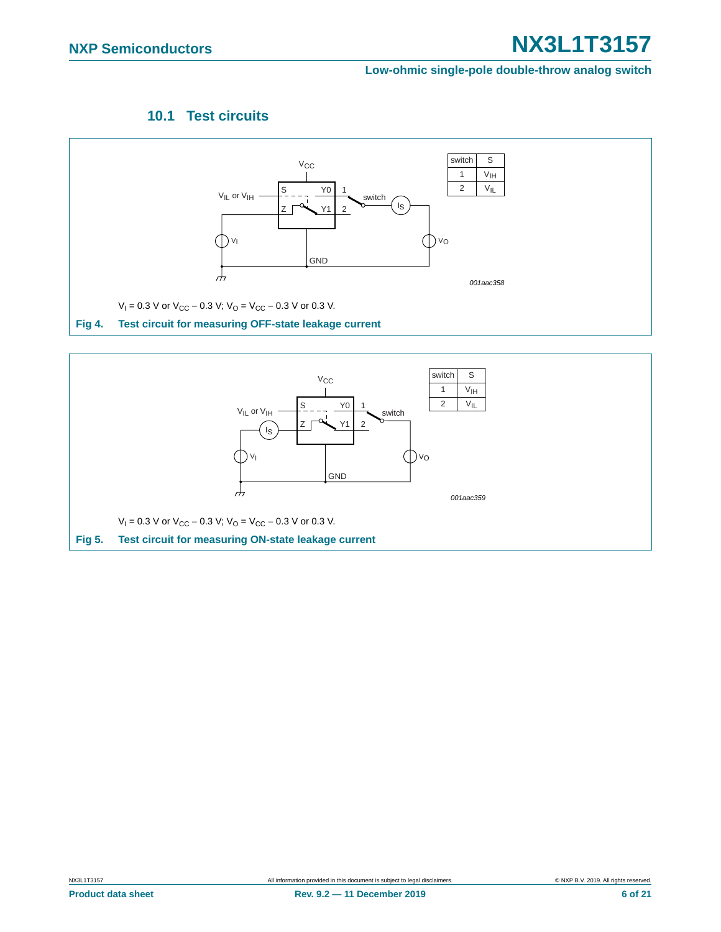#### **Low-ohmic single-pole double-throw analog switch**

### **10.1 Test circuits**

<span id="page-5-2"></span>

<span id="page-5-1"></span><span id="page-5-0"></span>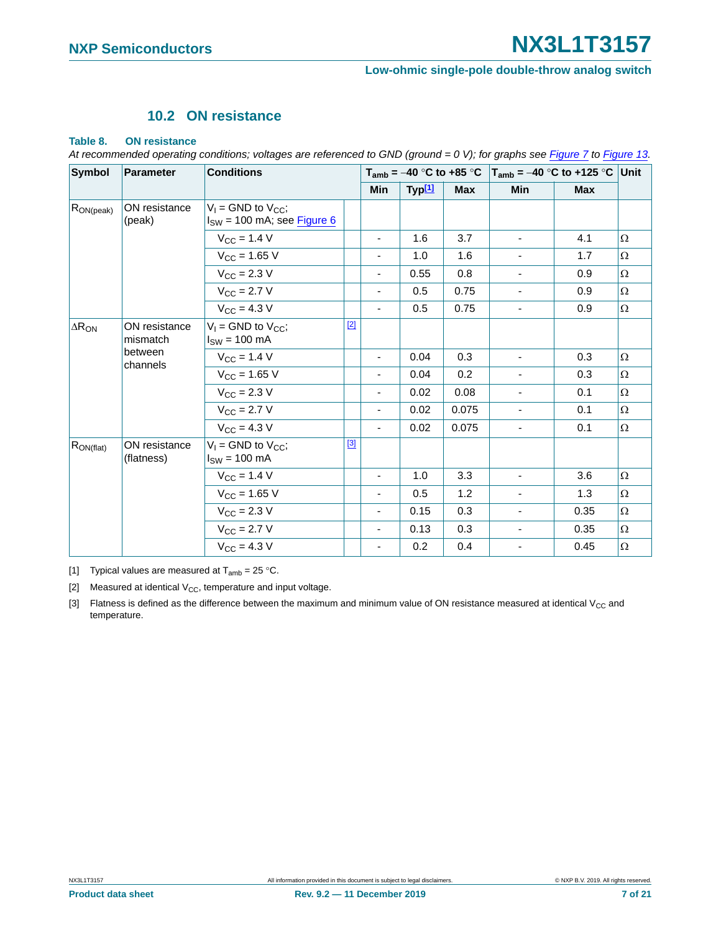#### **10.2 ON resistance**

#### <span id="page-6-3"></span>**Table 8. ON resistance**

| At recommended operating conditions; voltages are referenced to GND (ground = 0 V); for graphs see Figure 7 to Figure 13. |  |  |  |  |  |  |  |  |
|---------------------------------------------------------------------------------------------------------------------------|--|--|--|--|--|--|--|--|
|---------------------------------------------------------------------------------------------------------------------------|--|--|--|--|--|--|--|--|

| <b>Symbol</b><br>Parameter                   |                                                        | <b>Conditions</b>                                            |       |                          |                    |            | $T_{amb}$ = -40 °C to +85 °C   $T_{amb}$ = -40 °C to +125 °C   Unit |            |          |
|----------------------------------------------|--------------------------------------------------------|--------------------------------------------------------------|-------|--------------------------|--------------------|------------|---------------------------------------------------------------------|------------|----------|
|                                              |                                                        |                                                              |       | <b>Min</b>               | Typ <sup>[1]</sup> | <b>Max</b> | <b>Min</b>                                                          | <b>Max</b> |          |
| $R_{ON (peak)}$                              | ON resistance<br>(peak)                                | $V_1$ = GND to $V_{CC}$ ;<br>$I_{SW}$ = 100 mA; see Figure 6 |       |                          |                    |            |                                                                     |            |          |
|                                              |                                                        | $V_{CC}$ = 1.4 V                                             |       | $\overline{\phantom{a}}$ | 1.6                | 3.7        |                                                                     | 4.1        | $\Omega$ |
|                                              |                                                        | $V_{CC}$ = 1.65 V                                            |       | ٠                        | 1.0                | 1.6        |                                                                     | 1.7        | $\Omega$ |
|                                              |                                                        | $V_{\rm CC} = 2.3 V$                                         |       | $\overline{\phantom{0}}$ | 0.55               | 0.8        | $\blacksquare$                                                      | 0.9        | $\Omega$ |
|                                              |                                                        | $V_{\rm CC} = 2.7 V$                                         |       | ٠                        | 0.5                | 0.75       |                                                                     | 0.9        | $\Omega$ |
|                                              |                                                        | $V_{\rm CC} = 4.3 V$                                         |       | $\overline{\phantom{a}}$ | 0.5                | 0.75       | $\overline{\phantom{0}}$                                            | 0.9        | $\Omega$ |
| $\Delta R_{ON}$<br>ON resistance<br>mismatch | $V_1$ = GND to $V_{CC}$ ;<br>$I_{SW} = 100 \text{ mA}$ | $[2]$                                                        |       |                          |                    |            |                                                                     |            |          |
|                                              | between<br>channels                                    | $V_{CC}$ = 1.4 V                                             |       | $\blacksquare$           | 0.04               | 0.3        | $\blacksquare$                                                      | 0.3        | Ω        |
|                                              |                                                        | $V_{CC}$ = 1.65 V                                            |       | ٠                        | 0.04               | 0.2        |                                                                     | 0.3        | $\Omega$ |
|                                              |                                                        | $V_{\text{CC}} = 2.3 V$                                      |       | $\overline{\phantom{0}}$ | 0.02               | 0.08       | $\overline{\phantom{a}}$                                            | 0.1        | Ω        |
|                                              |                                                        | $V_{\rm CC} = 2.7 V$                                         |       | $\overline{\phantom{a}}$ | 0.02               | 0.075      | $\overline{\phantom{a}}$                                            | 0.1        | $\Omega$ |
|                                              |                                                        | $V_{\rm CC} = 4.3 V$                                         |       | $\overline{\phantom{a}}$ | 0.02               | 0.075      | $\overline{\phantom{a}}$                                            | 0.1        | $\Omega$ |
| $R_{ON(flat)}$                               | ON resistance<br>(flatness)                            | $V_1$ = GND to $V_{CC}$ ;<br>$I_{SW}$ = 100 mA               | $[3]$ |                          |                    |            |                                                                     |            |          |
|                                              |                                                        | $V_{\text{CC}} = 1.4 V$                                      |       | -                        | 1.0                | 3.3        | $\blacksquare$                                                      | 3.6        | $\Omega$ |
|                                              |                                                        | $V_{CC}$ = 1.65 V                                            |       | ٠                        | 0.5                | 1.2        |                                                                     | 1.3        | $\Omega$ |
|                                              |                                                        | $V_{\rm CC} = 2.3 V$                                         |       | $\overline{\phantom{a}}$ | 0.15               | 0.3        | $\overline{\phantom{a}}$                                            | 0.35       | $\Omega$ |
|                                              |                                                        | $V_{\text{CC}} = 2.7 V$                                      |       | $\blacksquare$           | 0.13               | 0.3        | $\overline{\phantom{a}}$                                            | 0.35       | $\Omega$ |
|                                              |                                                        | $V_{\text{CC}} = 4.3$ V                                      |       | ٠                        | 0.2                | 0.4        |                                                                     | 0.45       | $\Omega$ |

<span id="page-6-0"></span>[1] Typical values are measured at  $T_{amb} = 25 \degree C$ .

<span id="page-6-1"></span>[2] Measured at identical  $V_{CC}$ , temperature and input voltage.

<span id="page-6-2"></span>[3] Flatness is defined as the difference between the maximum and minimum value of ON resistance measured at identical V<sub>CC</sub> and temperature.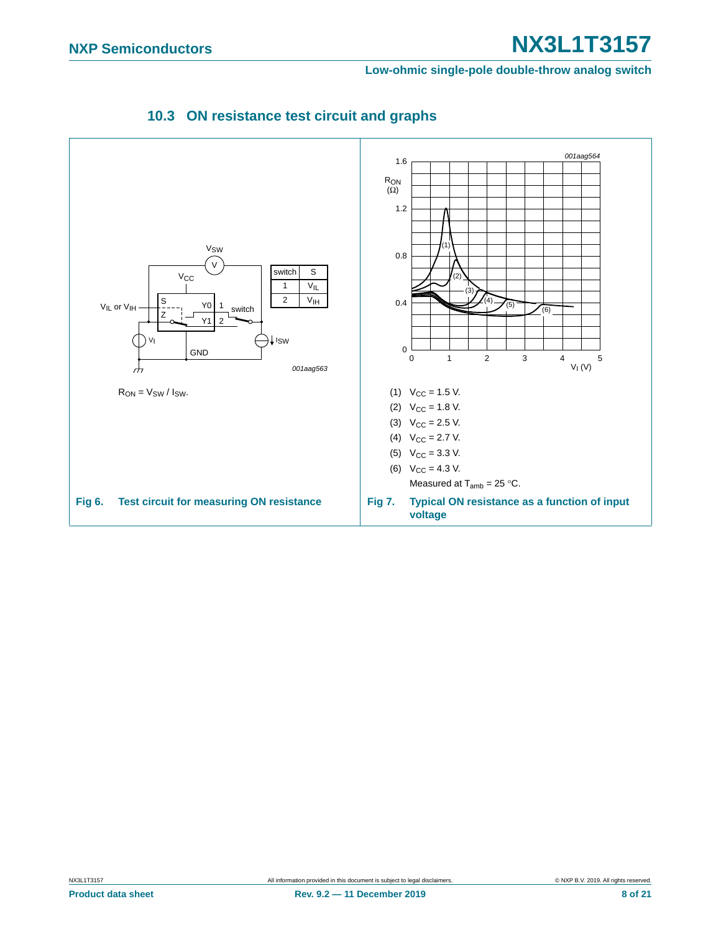<span id="page-7-0"></span>**Low-ohmic single-pole double-throw analog switch**

<span id="page-7-2"></span><span id="page-7-1"></span>

### **10.3 ON resistance test circuit and graphs**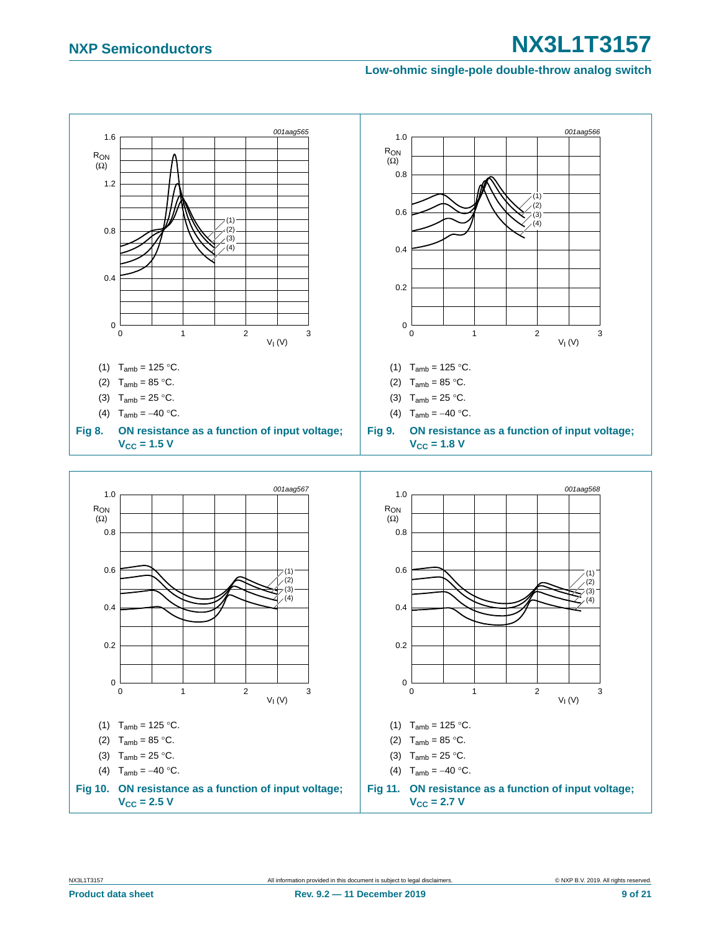#### **Low-ohmic single-pole double-throw analog switch**



- (2)  $T_{amb} = 85 °C$ .
- (3)  $T_{amb} = 25 °C$ .
- (4)  $T_{amb} = -40 °C$ .
- **Fig 10. ON resistance as a function of input voltage;**   $V_{CC} = 2.5 V$
- NX3L1T3157 All information provided in this document is subject to legal disclaimers. © NXP B.V. 2019. All rights reserved.

(2)  $T_{amb} = 85 °C$ . (3)  $T_{amb} = 25 °C$ . (4)  $T_{amb} = -40 °C$ .

 $V_{CC} = 2.7 V$ 

**Fig 11. ON resistance as a function of input voltage;**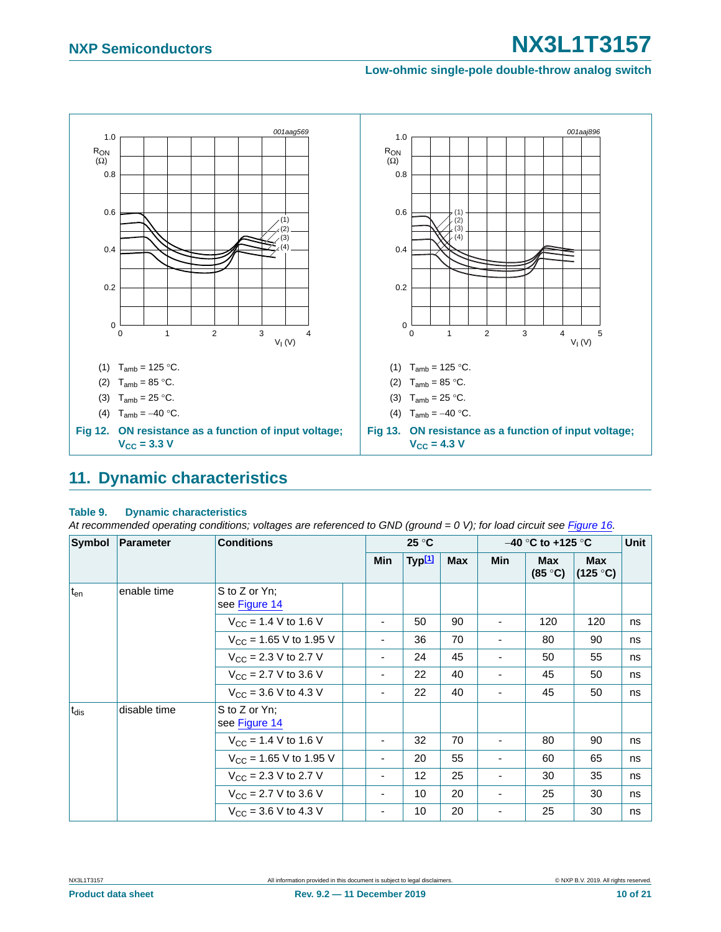#### **Low-ohmic single-pole double-throw analog switch**



## <span id="page-9-1"></span><span id="page-9-0"></span>**11. Dynamic characteristics**

#### **Table 9. Dynamic characteristics**

*At recommended operating conditions; voltages are referenced to GND (ground = 0 V); for load circuit see [Figure 16](#page-11-0).*

| Symbol           | Parameter    | <b>Conditions</b>                        |  |                          | 25 °C              |     |     | $-40$ °C to +125 °C            |                                  | Unit |
|------------------|--------------|------------------------------------------|--|--------------------------|--------------------|-----|-----|--------------------------------|----------------------------------|------|
|                  |              |                                          |  | Min                      | Typ <sup>[1]</sup> | Max | Min | <b>Max</b><br>$(85 \degree C)$ | Max<br>$(125 \text{ }^{\circ}C)$ |      |
| t <sub>en</sub>  | enable time  | S to Z or Yn;<br>see Figure 14           |  |                          |                    |     |     |                                |                                  |      |
|                  |              | $V_{CC}$ = 1.4 V to 1.6 V                |  | -                        | 50                 | 90  |     | 120                            | 120                              | ns   |
|                  |              | $V_{CC}$ = 1.65 V to 1.95 V              |  | $\overline{\phantom{a}}$ | 36                 | 70  | ٠   | 80                             | 90                               | ns   |
|                  |              | $V_{CC}$ = 2.3 V to 2.7 V                |  | ٠                        | 24                 | 45  | -   | 50                             | 55                               | ns   |
|                  |              | $V_{CC}$ = 2.7 V to 3.6 V                |  | ٠                        | 22                 | 40  | -   | 45                             | 50                               | ns   |
|                  |              | $V_{\text{CC}}$ = 3.6 V to 4.3 V         |  | ٠                        | 22                 | 40  | -   | 45                             | 50                               | ns   |
| t <sub>dis</sub> | disable time | S to Z or Yn;<br>see Figure 14           |  |                          |                    |     |     |                                |                                  |      |
|                  |              | $V_{CC}$ = 1.4 V to 1.6 V                |  | ٠                        | 32                 | 70  | ٠   | 80                             | 90                               | ns   |
|                  |              | $V_{CC}$ = 1.65 V to 1.95 V              |  | ۰                        | 20                 | 55  | -   | 60                             | 65                               | ns   |
|                  |              | $V_{\text{CC}}$ = 2.3 V to 2.7 V         |  | ۰                        | $12 \overline{ }$  | 25  | ٠   | 30                             | 35                               | ns   |
|                  |              | $V_{\text{CC}} = 2.7 \text{ V}$ to 3.6 V |  | ۰                        | 10                 | 20  | -   | 25                             | 30                               | ns   |
|                  |              | $V_{CC}$ = 3.6 V to 4.3 V                |  | ۰                        | 10                 | 20  | -   | 25                             | 30                               | ns   |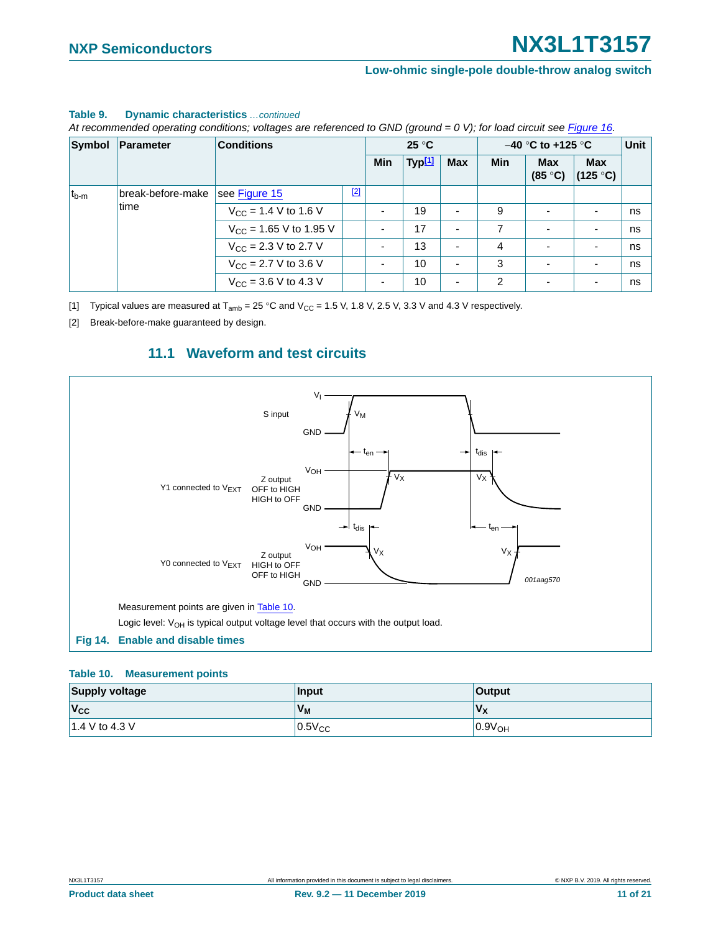#### **Table 9. Dynamic characteristics** *…continued*

*At recommended operating conditions; voltages are referenced to GND (ground = 0 V); for load circuit see Figure 16.*

| Symbol                                 | <b>Parameter</b>          | <b>Conditions</b>                  |  | $25^{\circ}$ C           |                    |            | $-40$ °C to +125 °C | Unit                     |                          |    |
|----------------------------------------|---------------------------|------------------------------------|--|--------------------------|--------------------|------------|---------------------|--------------------------|--------------------------|----|
|                                        |                           |                                    |  | Min                      | Typ <sup>[1]</sup> | <b>Max</b> | <b>Min</b>          | <b>Max</b><br>(85 °C)    | <b>Max</b><br>(125 °C)   |    |
| break-before-make<br>$t_{b-m}$<br>time | see Figure 15             | $[2]$                              |  |                          |                    |            |                     |                          |                          |    |
|                                        | $V_{CC}$ = 1.4 V to 1.6 V |                                    |  | 19                       |                    | 9          | $\blacksquare$      |                          | ns                       |    |
|                                        |                           | $V_{\text{CC}}$ = 1.65 V to 1.95 V |  | $\overline{\phantom{0}}$ | 17                 |            | 7                   | $\overline{\phantom{0}}$ |                          | ns |
|                                        |                           | $V_{\text{CC}}$ = 2.3 V to 2.7 V   |  | ٠                        | 13                 |            | 4                   | ٠                        | $\overline{\phantom{a}}$ | ns |
|                                        |                           | $V_{CC}$ = 2.7 V to 3.6 V          |  | ٠                        | 10                 |            | 3                   | $\overline{\phantom{0}}$ | $\overline{\phantom{a}}$ | ns |
|                                        |                           | $V_{CC}$ = 3.6 V to 4.3 V          |  | ٠                        | 10                 |            | $\overline{2}$      | $\blacksquare$           | $\blacksquare$           | ns |

<span id="page-10-0"></span>[1] Typical values are measured at  $T_{amb} = 25 \degree C$  and  $V_{CC} = 1.5 V$ , 1.8 V, 2.5 V, 3.3 V and 4.3 V respectively.

<span id="page-10-2"></span>[2] Break-before-make guaranteed by design.

### **11.1 Waveform and test circuits**

<span id="page-10-4"></span>

#### <span id="page-10-3"></span><span id="page-10-1"></span>**Table 10. Measurement points**

| <b>Supply voltage</b> | <b>Input</b>   | <b>Output</b>      |
|-----------------------|----------------|--------------------|
| $ V_{CC} $            | V <sub>M</sub> | $V_{X}$            |
| $1.4$ V to 4.3 V      | $0.5V_{CC}$    | 0.9V <sub>OH</sub> |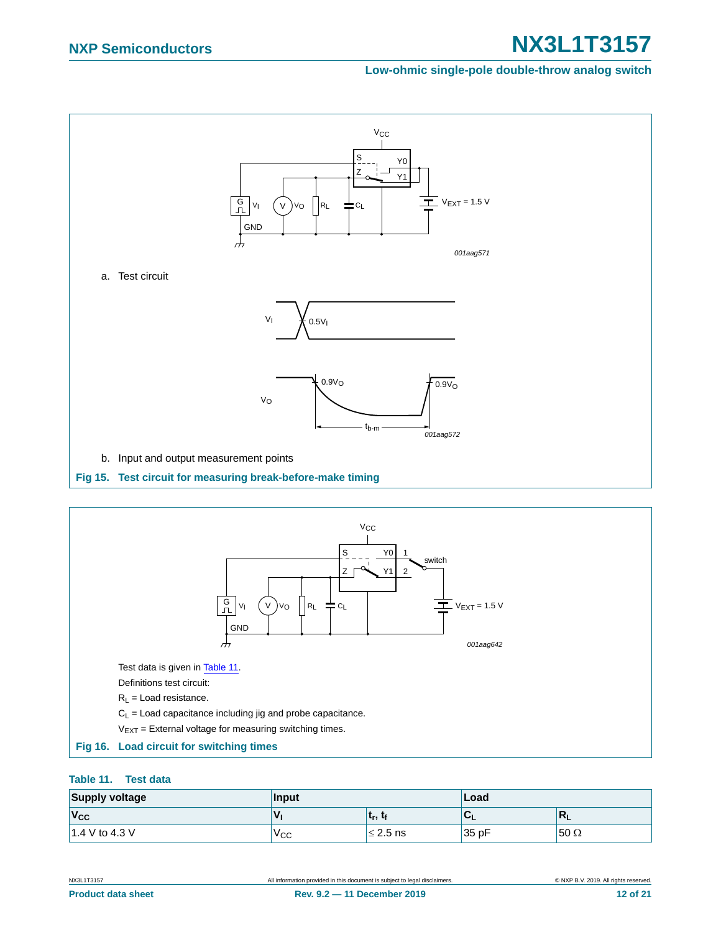#### **Low-ohmic single-pole double-throw analog switch**



<span id="page-11-1"></span>

#### <span id="page-11-2"></span><span id="page-11-0"></span>**Table 11. Test data**

| <b>Supply voltage</b> | Input        |               | Load  |             |  |
|-----------------------|--------------|---------------|-------|-------------|--|
| $V_{\rm CC}$          | v            | urs :         |       | M<br>. .    |  |
| 1.4 V to 4.3 V        | $V_{\rm CC}$ | $\leq$ 2.5 ns | 35 pF | $50 \Omega$ |  |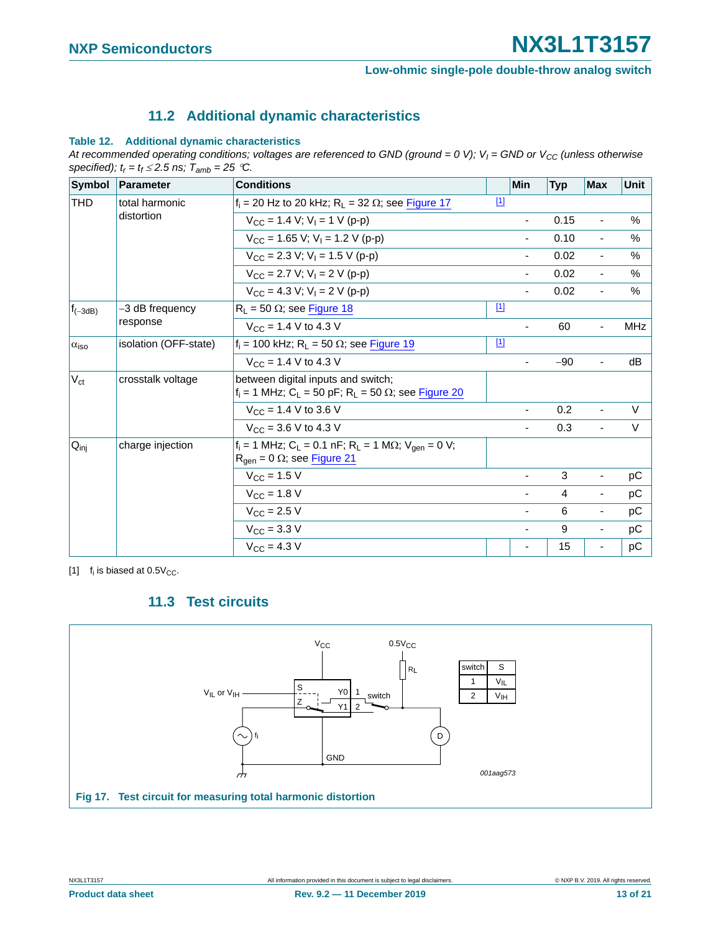### **11.2 Additional dynamic characteristics**

#### <span id="page-12-2"></span>**Table 12. Additional dynamic characteristics**

At recommended operating conditions; voltages are referenced to GND (ground =  $0 \text{ V}$ );  $V_I$  = GND or  $V_{CC}$  (unless otherwise specified);  $t_r = t_f \le 2.5$  ns;  $T_{amb} = 25$  °C.

| <b>Symbol</b>                                  | <b>Parameter</b>             | <b>Conditions</b>                                                                                                                       |       | <b>Min</b>               | <b>Typ</b> | <b>Max</b>               | <b>Unit</b>                                                                                                                                                                                             |
|------------------------------------------------|------------------------------|-----------------------------------------------------------------------------------------------------------------------------------------|-------|--------------------------|------------|--------------------------|---------------------------------------------------------------------------------------------------------------------------------------------------------------------------------------------------------|
| THD<br>$f_{(-3dB)}$<br>$\alpha$ <sub>iso</sub> | total harmonic<br>distortion | $f_i$ = 20 Hz to 20 kHz; R <sub>L</sub> = 32 $\Omega$ ; see Figure 17                                                                   | $[1]$ |                          |            |                          |                                                                                                                                                                                                         |
|                                                |                              | $V_{CC}$ = 1.4 V; V <sub>1</sub> = 1 V (p-p)                                                                                            |       | $\overline{\phantom{a}}$ | 0.15       | $\overline{\phantom{a}}$ | $\%$                                                                                                                                                                                                    |
|                                                |                              | $V_{CC}$ = 1.65 V; V <sub>1</sub> = 1.2 V (p-p)                                                                                         |       | $\overline{\phantom{a}}$ | 0.10       | $\overline{\phantom{a}}$ | %                                                                                                                                                                                                       |
|                                                |                              | $V_{\text{CC}}$ = 2.3 V; V <sub>1</sub> = 1.5 V (p-p)                                                                                   |       |                          | 0.02       | $\blacksquare$           | $\frac{0}{0}$                                                                                                                                                                                           |
|                                                |                              | $V_{CC}$ = 2.7 V; V <sub>1</sub> = 2 V (p-p)                                                                                            |       | ۰                        | 0.02       | $\blacksquare$           | $\%$                                                                                                                                                                                                    |
|                                                |                              | $V_{CC}$ = 4.3 V; V <sub>I</sub> = 2 V (p-p)                                                                                            |       | $\blacksquare$           | 0.02       | $\blacksquare$           | %                                                                                                                                                                                                       |
|                                                | -3 dB frequency              | $R_L$ = 50 $\Omega$ ; see Figure 18                                                                                                     | $[1]$ |                          |            |                          |                                                                                                                                                                                                         |
|                                                | response                     | $V_{CC}$ = 1.4 V to 4.3 V                                                                                                               |       | $\blacksquare$           | 60         | $\overline{\phantom{a}}$ | <b>MHz</b>                                                                                                                                                                                              |
|                                                | isolation (OFF-state)        | $f_i = 100$ kHz; $R_L = 50 \Omega$ ; see Figure 19                                                                                      | $[1]$ |                          |            |                          |                                                                                                                                                                                                         |
|                                                |                              | $V_{CC}$ = 1.4 V to 4.3 V                                                                                                               |       |                          | $-90$      | $\overline{\phantom{a}}$ | dB                                                                                                                                                                                                      |
| $V_{\text{ct}}$                                | crosstalk voltage            | between digital inputs and switch;<br>$f_i = 1$ MHz; C <sub>L</sub> = 50 pF; R <sub>L</sub> = 50 $\Omega$ ; see Figure 20               |       |                          |            |                          |                                                                                                                                                                                                         |
|                                                |                              | $V_{\text{CC}}$ = 1.4 V to 3.6 V                                                                                                        |       | $\blacksquare$           | 0.2        | $\blacksquare$           | $\vee$<br>V<br>$\blacksquare$<br>pC<br>$\overline{\phantom{a}}$<br>pC<br>$\overline{\phantom{a}}$<br>рC<br>$\overline{\phantom{a}}$<br>рC<br>$\overline{\phantom{a}}$<br>pC<br>$\overline{\phantom{a}}$ |
|                                                |                              | $V_{CC}$ = 3.6 V to 4.3 V                                                                                                               |       | $\blacksquare$           | 0.3        |                          |                                                                                                                                                                                                         |
| $Q_{\text{inj}}$                               | charge injection             | $f_i = 1$ MHz; C <sub>L</sub> = 0.1 nF; R <sub>L</sub> = 1 M $\Omega$ ; V <sub>gen</sub> = 0 V;<br>$R_{gen} = 0 \Omega$ ; see Figure 21 |       |                          |            |                          |                                                                                                                                                                                                         |
|                                                |                              | $V_{CC}$ = 1.5 V                                                                                                                        |       | $\overline{\phantom{a}}$ | 3          |                          |                                                                                                                                                                                                         |
|                                                |                              | $V_{CC}$ = 1.8 V                                                                                                                        |       |                          | 4          |                          |                                                                                                                                                                                                         |
|                                                |                              | $V_{\text{CC}} = 2.5 V$                                                                                                                 |       | $\overline{\phantom{a}}$ | 6          |                          |                                                                                                                                                                                                         |
|                                                |                              | $V_{\text{CC}} = 3.3 \text{ V}$                                                                                                         |       | $\overline{\phantom{a}}$ | 9          |                          |                                                                                                                                                                                                         |
|                                                |                              | $V_{\text{CC}} = 4.3 V$                                                                                                                 |       | ۰                        | 15         |                          |                                                                                                                                                                                                         |

<span id="page-12-1"></span>[1]  $f_i$  is biased at 0.5 $V_{CC}$ .

### **11.3 Test circuits**

<span id="page-12-3"></span><span id="page-12-0"></span>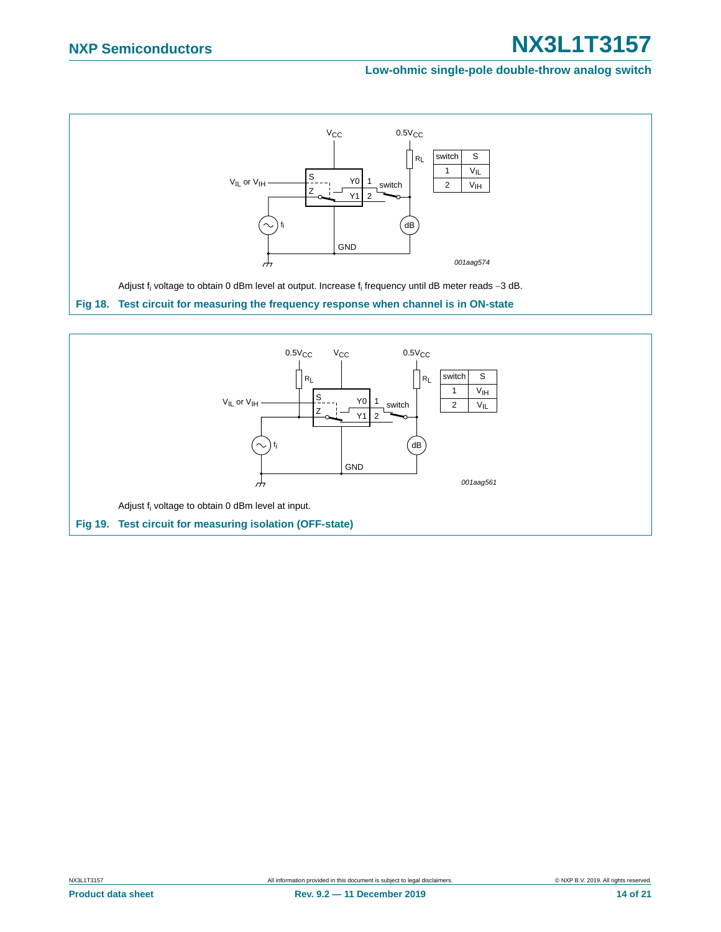#### **Low-ohmic single-pole double-throw analog switch**



<span id="page-13-1"></span><span id="page-13-0"></span>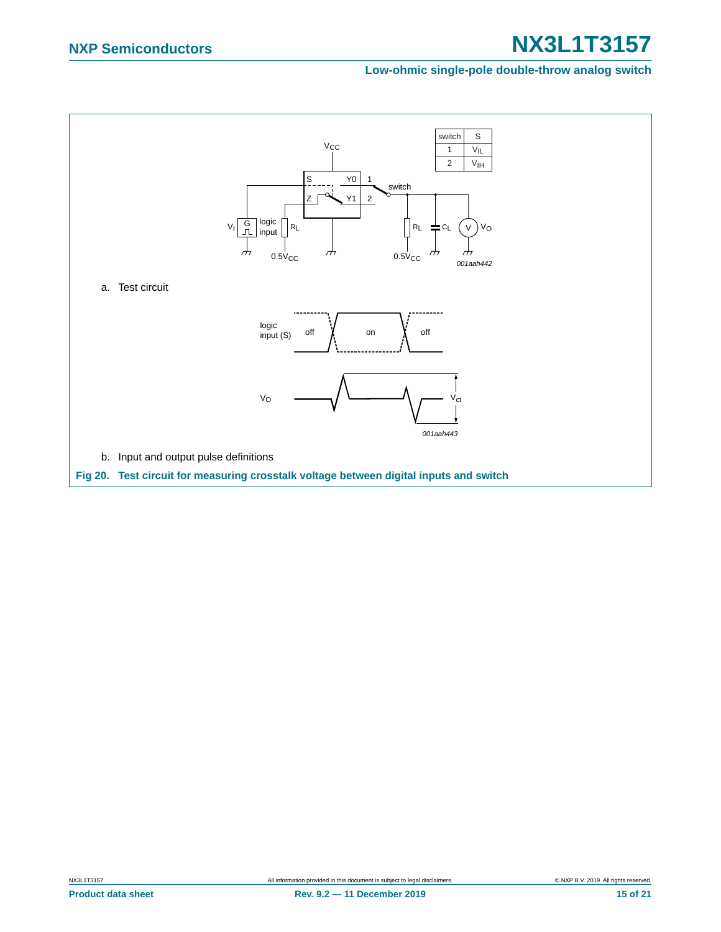#### **Low-ohmic single-pole double-throw analog switch**

<span id="page-14-0"></span>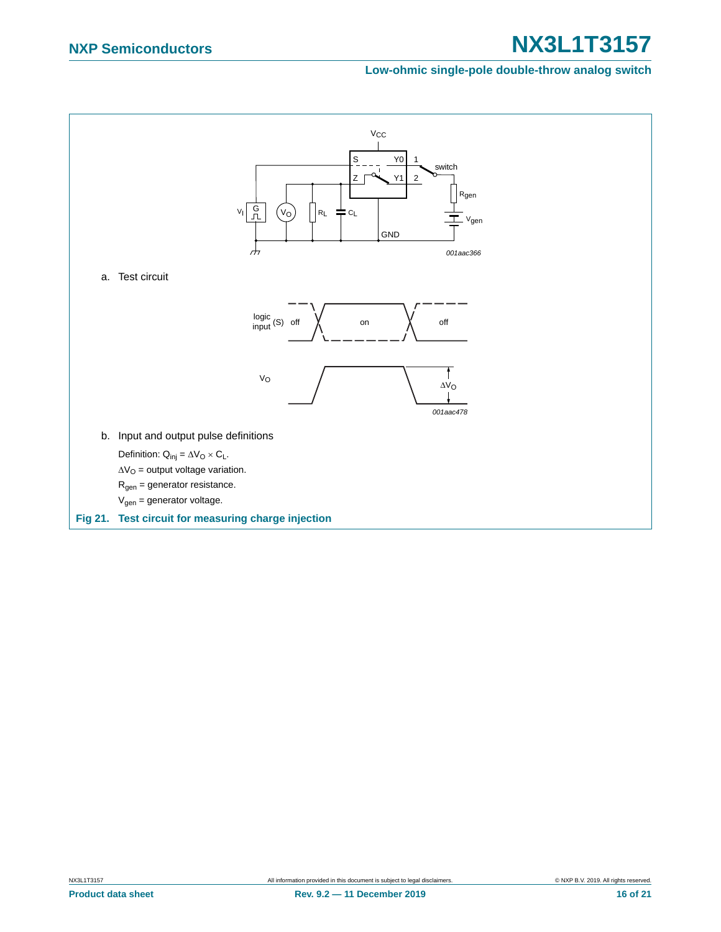#### **Low-ohmic single-pole double-throw analog switch**

<span id="page-15-0"></span>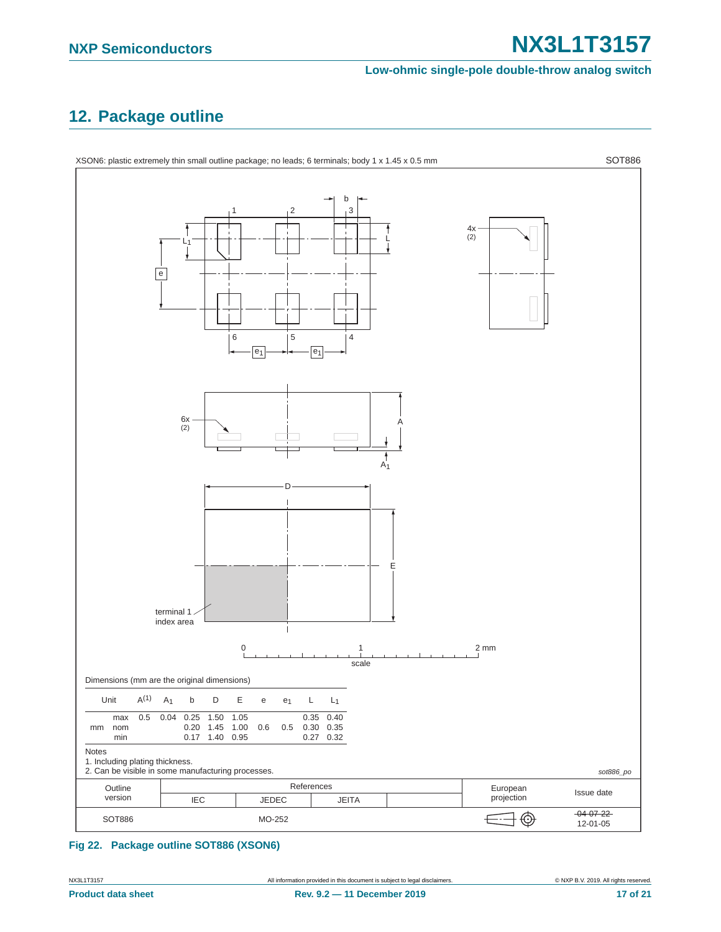#### **Low-ohmic single-pole double-throw analog switch**

## <span id="page-16-0"></span>**12. Package outline**



#### **Fig 22. Package outline SOT886 (XSON6)**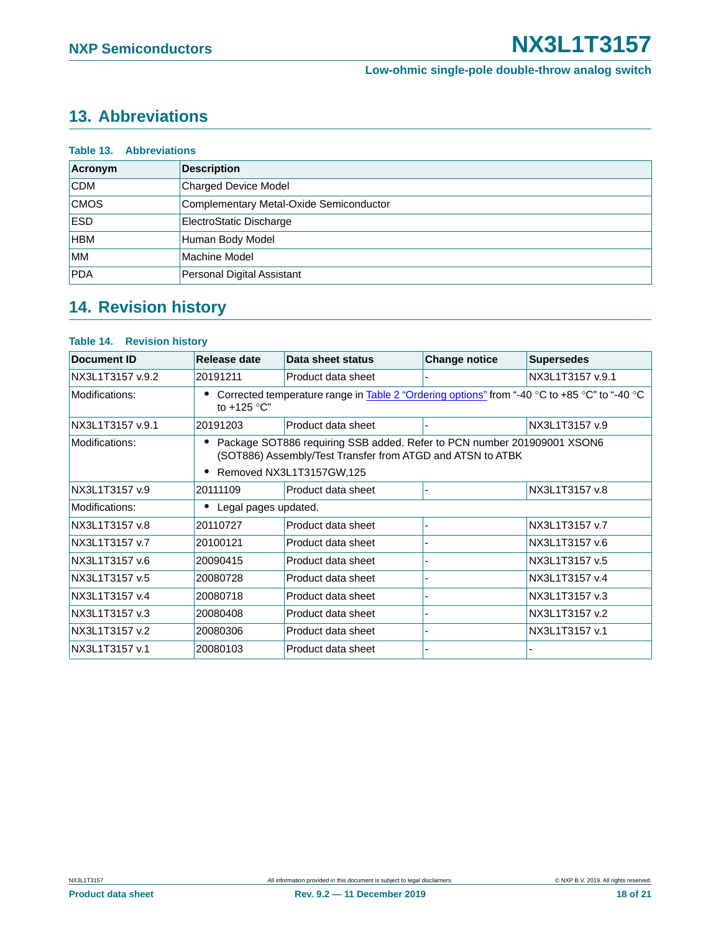## <span id="page-17-0"></span>**13. Abbreviations**

| <b>Table 13. Abbreviations</b> |                                         |  |  |
|--------------------------------|-----------------------------------------|--|--|
| Acronym                        | <b>Description</b>                      |  |  |
| <b>CDM</b>                     | <b>Charged Device Model</b>             |  |  |
| <b>CMOS</b>                    | Complementary Metal-Oxide Semiconductor |  |  |
| <b>ESD</b>                     | ElectroStatic Discharge                 |  |  |
| <b>HBM</b>                     | Human Body Model                        |  |  |
| MМ                             | Machine Model                           |  |  |
| <b>PDA</b>                     | Personal Digital Assistant              |  |  |

## <span id="page-17-1"></span>**14. Revision history**

#### **Table 14. Revision history**

| Document ID      | Release date         | Data sheet status                                                                                                                     | <b>Change notice</b> | <b>Supersedes</b> |
|------------------|----------------------|---------------------------------------------------------------------------------------------------------------------------------------|----------------------|-------------------|
| NX3L1T3157 v.9.2 | 20191211             | Product data sheet                                                                                                                    |                      | NX3L1T3157 v.9.1  |
| Modifications:   | to $+125$ °C"        | Corrected temperature range in Table 2 "Ordering options" from "-40 °C to +85 °C" to "-40 °C                                          |                      |                   |
| NX3L1T3157 v.9.1 | 20191203             | Product data sheet                                                                                                                    |                      | NX3L1T3157 v.9    |
| Modifications:   |                      | Package SOT886 requiring SSB added. Refer to PCN number 201909001 XSON6<br>(SOT886) Assembly/Test Transfer from ATGD and ATSN to ATBK |                      |                   |
|                  |                      | Removed NX3L1T3157GW,125                                                                                                              |                      |                   |
| NX3L1T3157 v.9   | 20111109             | Product data sheet                                                                                                                    |                      | NX3L1T3157 v.8    |
| Modifications:   | Legal pages updated. |                                                                                                                                       |                      |                   |
| NX3L1T3157 v.8   | 20110727             | Product data sheet                                                                                                                    |                      | NX3L1T3157 v.7    |
| NX3L1T3157 v.7   | 20100121             | Product data sheet                                                                                                                    |                      | NX3L1T3157 v.6    |
| NX3L1T3157 v.6   | 20090415             | Product data sheet                                                                                                                    |                      | NX3L1T3157 v.5    |
| NX3L1T3157 v.5   | 20080728             | Product data sheet                                                                                                                    |                      | NX3L1T3157 v.4    |
| NX3L1T3157 v.4   | 20080718             | Product data sheet                                                                                                                    |                      | NX3L1T3157 v.3    |
| NX3L1T3157 v.3   | 20080408             | Product data sheet                                                                                                                    |                      | NX3L1T3157 v.2    |
| NX3L1T3157 v.2   | 20080306             | Product data sheet                                                                                                                    |                      | NX3L1T3157 v.1    |
| NX3L1T3157 v.1   | 20080103             | Product data sheet                                                                                                                    |                      |                   |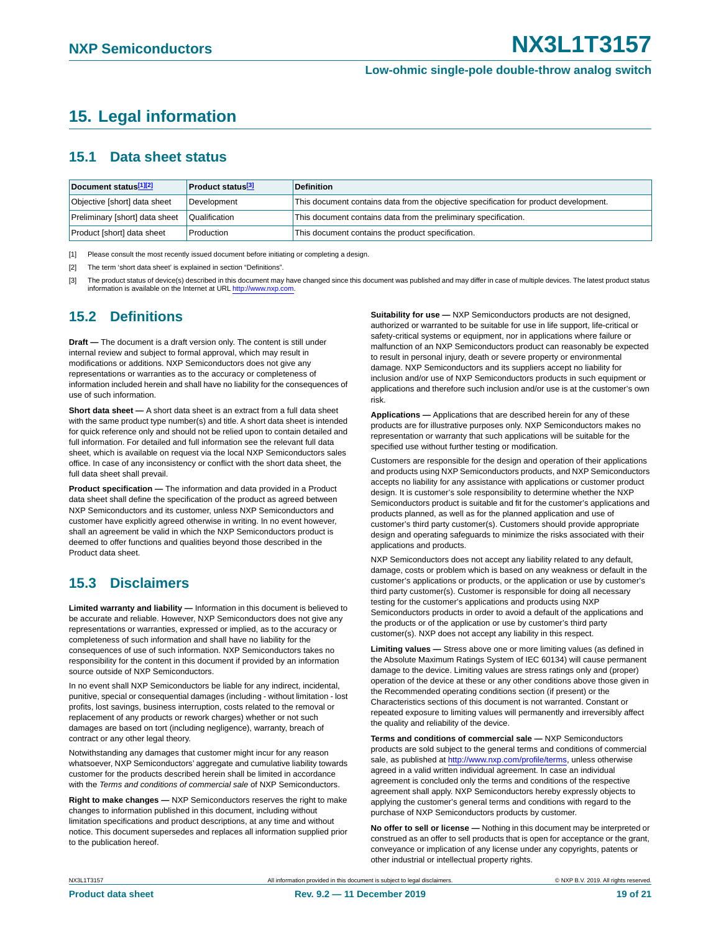## <span id="page-18-3"></span>**15. Legal information**

#### <span id="page-18-4"></span>**15.1 Data sheet status**

| Document status[1][2]          | <b>Product status</b> <sup>[3]</sup> | <b>Definition</b>                                                                     |
|--------------------------------|--------------------------------------|---------------------------------------------------------------------------------------|
| Objective [short] data sheet   | Development                          | This document contains data from the objective specification for product development. |
| Preliminary [short] data sheet | Qualification                        | This document contains data from the preliminary specification.                       |
| Product [short] data sheet     | Production                           | This document contains the product specification.                                     |

<span id="page-18-0"></span>[1] Please consult the most recently issued document before initiating or completing a design.

<span id="page-18-1"></span>[2] The term 'short data sheet' is explained in section "Definitions"

<span id="page-18-2"></span>[3] The product status of device(s) described in this document may have changed since this document was published and may differ in case of multiple devices. The latest product status information is available on the Internet at URL [http://www.nxp.com.](http://www.nxp.com)

### <span id="page-18-5"></span>**15.2 Definitions**

**Draft —** The document is a draft version only. The content is still under internal review and subject to formal approval, which may result in modifications or additions. NXP Semiconductors does not give any representations or warranties as to the accuracy or completeness of information included herein and shall have no liability for the consequences of use of such information.

**Short data sheet —** A short data sheet is an extract from a full data sheet with the same product type number(s) and title. A short data sheet is intended for quick reference only and should not be relied upon to contain detailed and full information. For detailed and full information see the relevant full data sheet, which is available on request via the local NXP Semiconductors sales office. In case of any inconsistency or conflict with the short data sheet, the full data sheet shall prevail.

**Product specification —** The information and data provided in a Product data sheet shall define the specification of the product as agreed between NXP Semiconductors and its customer, unless NXP Semiconductors and customer have explicitly agreed otherwise in writing. In no event however, shall an agreement be valid in which the NXP Semiconductors product is deemed to offer functions and qualities beyond those described in the Product data sheet.

### <span id="page-18-6"></span>**15.3 Disclaimers**

**Limited warranty and liability —** Information in this document is believed to be accurate and reliable. However, NXP Semiconductors does not give any representations or warranties, expressed or implied, as to the accuracy or completeness of such information and shall have no liability for the consequences of use of such information. NXP Semiconductors takes no responsibility for the content in this document if provided by an information source outside of NXP Semiconductors.

In no event shall NXP Semiconductors be liable for any indirect, incidental, punitive, special or consequential damages (including - without limitation - lost profits, lost savings, business interruption, costs related to the removal or replacement of any products or rework charges) whether or not such damages are based on tort (including negligence), warranty, breach of contract or any other legal theory.

Notwithstanding any damages that customer might incur for any reason whatsoever, NXP Semiconductors' aggregate and cumulative liability towards customer for the products described herein shall be limited in accordance with the *Terms and conditions of commercial sale* of NXP Semiconductors.

**Right to make changes —** NXP Semiconductors reserves the right to make changes to information published in this document, including without limitation specifications and product descriptions, at any time and without notice. This document supersedes and replaces all information supplied prior to the publication hereof.

**Suitability for use —** NXP Semiconductors products are not designed, authorized or warranted to be suitable for use in life support, life-critical or safety-critical systems or equipment, nor in applications where failure or malfunction of an NXP Semiconductors product can reasonably be expected to result in personal injury, death or severe property or environmental damage. NXP Semiconductors and its suppliers accept no liability for inclusion and/or use of NXP Semiconductors products in such equipment or applications and therefore such inclusion and/or use is at the customer's own risk.

**Applications —** Applications that are described herein for any of these products are for illustrative purposes only. NXP Semiconductors makes no representation or warranty that such applications will be suitable for the specified use without further testing or modification.

Customers are responsible for the design and operation of their applications and products using NXP Semiconductors products, and NXP Semiconductors accepts no liability for any assistance with applications or customer product design. It is customer's sole responsibility to determine whether the NXP Semiconductors product is suitable and fit for the customer's applications and products planned, as well as for the planned application and use of customer's third party customer(s). Customers should provide appropriate design and operating safeguards to minimize the risks associated with their applications and products.

NXP Semiconductors does not accept any liability related to any default, damage, costs or problem which is based on any weakness or default in the customer's applications or products, or the application or use by customer's third party customer(s). Customer is responsible for doing all necessary testing for the customer's applications and products using NXP Semiconductors products in order to avoid a default of the applications and the products or of the application or use by customer's third party customer(s). NXP does not accept any liability in this respect.

**Limiting values —** Stress above one or more limiting values (as defined in the Absolute Maximum Ratings System of IEC 60134) will cause permanent damage to the device. Limiting values are stress ratings only and (proper) operation of the device at these or any other conditions above those given in the Recommended operating conditions section (if present) or the Characteristics sections of this document is not warranted. Constant or repeated exposure to limiting values will permanently and irreversibly affect the quality and reliability of the device.

**Terms and conditions of commercial sale —** NXP Semiconductors products are sold subject to the general terms and conditions of commercial sale, as published at [http://www.nxp.com/profile/terms,](http://www.nxp.com/profile/terms) unless otherwise agreed in a valid written individual agreement. In case an individual agreement is concluded only the terms and conditions of the respective agreement shall apply. NXP Semiconductors hereby expressly objects to applying the customer's general terms and conditions with regard to the purchase of NXP Semiconductors products by customer.

**No offer to sell or license —** Nothing in this document may be interpreted or construed as an offer to sell products that is open for acceptance or the grant, conveyance or implication of any license under any copyrights, patents or other industrial or intellectual property rights.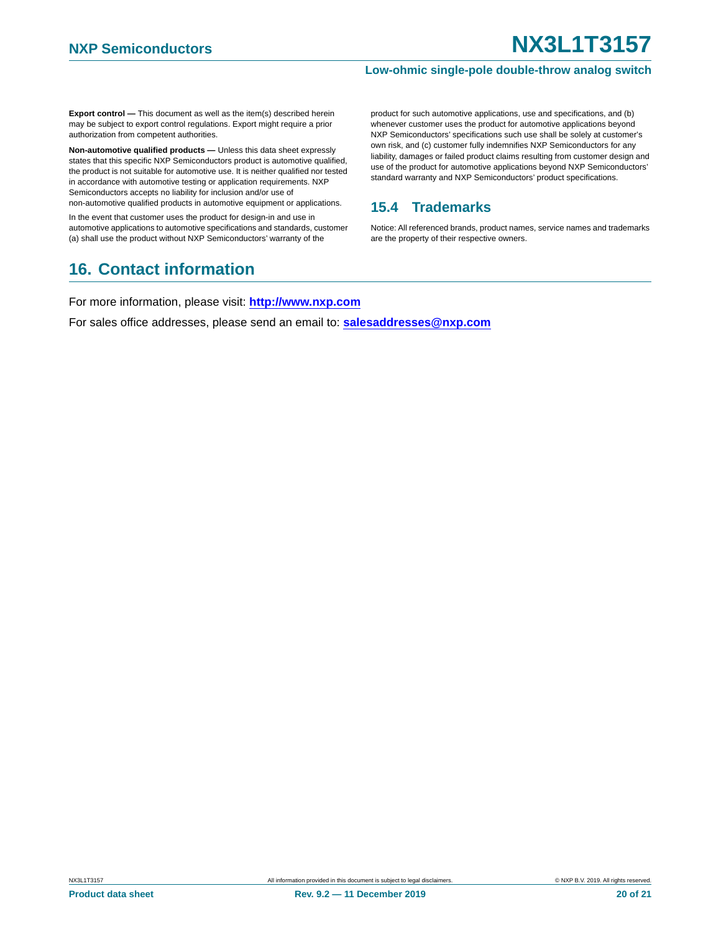**Export control —** This document as well as the item(s) described herein may be subject to export control regulations. Export might require a prior authorization from competent authorities.

**Non-automotive qualified products —** Unless this data sheet expressly states that this specific NXP Semiconductors product is automotive qualified, the product is not suitable for automotive use. It is neither qualified nor tested in accordance with automotive testing or application requirements. NXP Semiconductors accepts no liability for inclusion and/or use of non-automotive qualified products in automotive equipment or applications.

In the event that customer uses the product for design-in and use in automotive applications to automotive specifications and standards, customer

<span id="page-19-1"></span>(a) shall use the product without NXP Semiconductors' warranty of the **16. Contact information**

product for such automotive applications, use and specifications, and (b) whenever customer uses the product for automotive applications beyond NXP Semiconductors' specifications such use shall be solely at customer's own risk, and (c) customer fully indemnifies NXP Semiconductors for any liability, damages or failed product claims resulting from customer design and use of the product for automotive applications beyond NXP Semiconductors' standard warranty and NXP Semiconductors' product specifications.

#### <span id="page-19-0"></span>**15.4 Trademarks**

Notice: All referenced brands, product names, service names and trademarks are the property of their respective owners.

For more information, please visit: **http://www.nxp.com**

For sales office addresses, please send an email to: **salesaddresses@nxp.com**